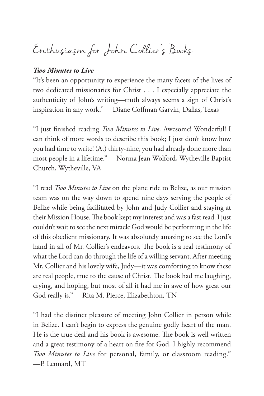Enthusiasm for John Collier's Books

#### *Two Minutes to Live*

"It's been an opportunity to experience the many facets of the lives of two dedicated missionaries for Christ . . . I especially appreciate the authenticity of John's writing—truth always seems a sign of Christ's inspiration in any work." —Diane Coffman Garvin, Dallas, Texas

"I just finished reading *Two Minutes to Live*. Awesome! Wonderful! I can think of more words to describe this book; I just don't know how you had time to write! (At) thirty-nine, you had already done more than most people in a lifetime." —Norma Jean Wolford, Wytheville Baptist Church, Wytheville, VA

"I read *Two Minutes to Live* on the plane ride to Belize, as our mission team was on the way down to spend nine days serving the people of Belize while being facilitated by John and Judy Collier and staying at their Mission House. The book kept my interest and was a fast read. I just couldn't wait to see the next miracle God would be performing in the life of this obedient missionary. It was absolutely amazing to see the Lord's hand in all of Mr. Collier's endeavors. The book is a real testimony of what the Lord can do through the life of a willing servant. After meeting Mr. Collier and his lovely wife, Judy—it was comforting to know these are real people, true to the cause of Christ. The book had me laughing, crying, and hoping, but most of all it had me in awe of how great our God really is." —Rita M. Pierce, Elizabethton*,* TN

"I had the distinct pleasure of meeting John Collier in person while in Belize. I can't begin to express the genuine godly heart of the man. He is the true deal and his book is awesome. The book is well written and a great testimony of a heart on fire for God. I highly recommend *Two Minutes to Live* for personal, family, or classroom reading." —P. Lennard, MT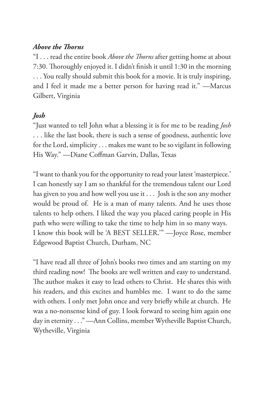#### *Above the Thorns*

"I . . . read the entire book *Above the Thorns* after getting home at about 7:30. Thoroughly enjoyed it. I didn't finish it until 1:30 in the morning . . . You really should submit this book for a movie. It is truly inspiring, and I feel it made me a better person for having read it." —Marcus Gilbert, Virginia

#### *Josh*

"Just wanted to tell John what a blessing it is for me to be reading *Josh* . . . like the last book, there is such a sense of goodness, authentic love for the Lord, simplicity . . . makes me want to be so vigilant in following His Way." —Diane Coffman Garvin, Dallas, Texas

"I want to thank you for the opportunity to read your latest 'masterpiece.' I can honestly say I am so thankful for the tremendous talent our Lord has given to you and how well you use it . . . Josh is the son any mother would be proud of. He is a man of many talents. And he uses those talents to help others. I liked the way you placed caring people in His path who were willing to take the time to help him in so many ways. I know this book will be 'A BEST SELLER.'" —Joyce Rose, member Edgewood Baptist Church, Durham, NC

"I have read all three of John's books two times and am starting on my third reading now! The books are well written and easy to understand. The author makes it easy to lead others to Christ. He shares this with his readers, and this excites and humbles me. I want to do the same with others. I only met John once and very briefly while at church. He was a no-nonsense kind of guy. I look forward to seeing him again one day in eternity . . ." - Ann Collins, member Wytheville Baptist Church, Wytheville, Virginia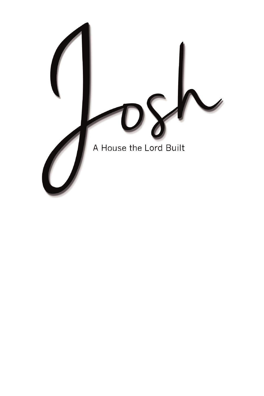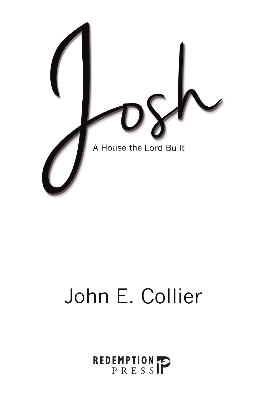

# John E. Collier

# REDEMPTION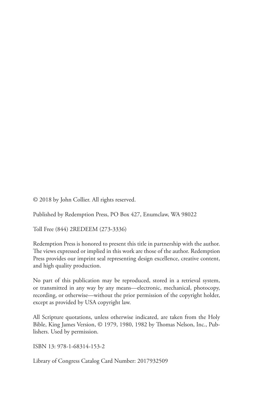© 2018 by John Collier. All rights reserved.

Published by Redemption Press, PO Box 427, Enumclaw, WA 98022

Toll Free (844) 2REDEEM (273-3336)

Redemption Press is honored to present this title in partnership with the author. The views expressed or implied in this work are those of the author. Redemption Press provides our imprint seal representing design excellence, creative content, and high quality production.

No part of this publication may be reproduced, stored in a retrieval system, or transmitted in any way by any means—electronic, mechanical, photocopy, recording, or otherwise—without the prior permission of the copyright holder, except as provided by USA copyright law.

All Scripture quotations, unless otherwise indicated, are taken from the Holy Bible, King James Version, © 1979, 1980, 1982 by Thomas Nelson, Inc., Publishers. Used by permission.

ISBN 13: 978-1-68314-153-2

Library of Congress Catalog Card Number: 2017932509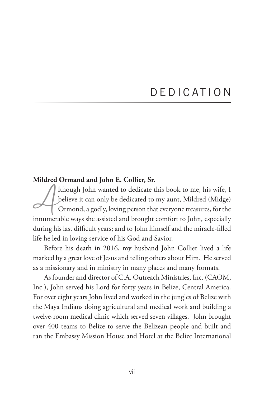## D E D I C AT I O N

#### **Mildred Ormand and John E. Collier, Sr.**

Ithough John wanted to dedicate this book to me, his wife, I<br>believe it can only be dedicated to my aunt, Mildred (Midge)<br>Ormond, a godly, loving person that everyone treasures, for the believe it can only be dedicated to my aunt, Mildred (Midge) Ormond, a godly, loving person that everyone treasures, for the innumerable ways she assisted and brought comfort to John, especially during his last difficult years; and to John himself and the miracle-filled life he led in loving service of his God and Savior.

Before his death in 2016, my husband John Collier lived a life marked by a great love of Jesus and telling others about Him. He served as a missionary and in ministry in many places and many formats.

As founder and director of C.A. Outreach Ministries, Inc. (CAOM, Inc.), John served his Lord for forty years in Belize, Central America. For over eight years John lived and worked in the jungles of Belize with the Maya Indians doing agricultural and medical work and building a twelve-room medical clinic which served seven villages. John brought over 400 teams to Belize to serve the Belizean people and built and ran the Embassy Mission House and Hotel at the Belize International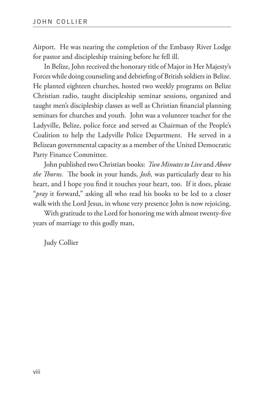Airport. He was nearing the completion of the Embassy River Lodge for pastor and discipleship training before he fell ill.

In Belize, John received the honorary title of Major in Her Majesty's Forces while doing counseling and debriefing of British soldiers in Belize. He planted eighteen churches, hosted two weekly programs on Belize Christian radio, taught discipleship seminar sessions, organized and taught men's discipleship classes as well as Christian financial planning seminars for churches and youth. John was a volunteer teacher for the Ladyville, Belize, police force and served as Chairman of the People's Coalition to help the Ladyville Police Department. He served in a Belizean governmental capacity as a member of the United Democratic Party Finance Committee.

John published two Christian books: *Two Minutes to Live* and *Above the Thorns.* The book in your hands, *Josh,* was particularly dear to his heart, and I hope you find it touches your heart, too. If it does, please "*pray* it forward," asking all who read his books to be led to a closer walk with the Lord Jesus, in whose very presence John is now rejoicing.

With gratitude to the Lord for honoring me with almost twenty-five years of marriage to this godly man,

Judy Collier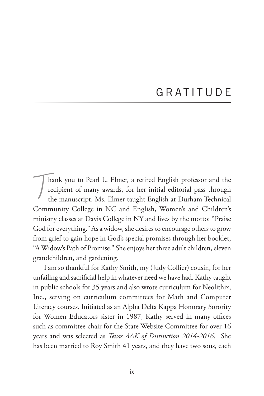## GRATITUDE

 $\frac{1}{2}$ hank you to Pearl L. Elmer, a retired English professor and the recipient of many awards, for her initial editorial pass through the manuscript. Ms. Elmer taught English at Durham Technical Community College in NC and English, Women's and Children's ministry classes at Davis College in NY and lives by the motto: "Praise God for everything." As a widow, she desires to encourage others to grow from grief to gain hope in God's special promises through her booklet, "A Widow's Path of Promise." She enjoys her three adult children, eleven grandchildren, and gardening.

I am so thankful for Kathy Smith, my (Judy Collier) cousin, for her unfailing and sacrificial help in whatever need we have had. Kathy taught in public schools for 35 years and also wrote curriculum for Neolithix, Inc., serving on curriculum committees for Math and Computer Literacy courses. Initiated as an Alpha Delta Kappa Honorary Sorority for Women Educators sister in 1987, Kathy served in many offices such as committee chair for the State Website Committee for over 16 years and was selected as *Texas AΔK of Distinction 2014-2016*. She has been married to Roy Smith 41 years, and they have two sons, each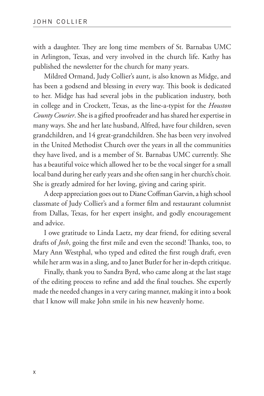with a daughter. They are long time members of St. Barnabas UMC in Arlington, Texas, and very involved in the church life. Kathy has published the newsletter for the church for many years.

Mildred Ormand, Judy Collier's aunt, is also known as Midge, and has been a godsend and blessing in every way. This book is dedicated to her. Midge has had several jobs in the publication industry, both in college and in Crockett, Texas, as the line-a-typist for the *Houston County Courier*. She is a gifted proofreader and has shared her expertise in many ways. She and her late husband, Alfred, have four children, seven grandchildren, and 14 great-grandchildren. She has been very involved in the United Methodist Church over the years in all the communities they have lived, and is a member of St. Barnabas UMC currently. She has a beautiful voice which allowed her to be the vocal singer for a small local band during her early years and she often sang in her church's choir. She is greatly admired for her loving, giving and caring spirit.

A deep appreciation goes out to Diane Coffman Garvin, a high school classmate of Judy Collier's and a former film and restaurant columnist from Dallas, Texas, for her expert insight, and godly encouragement and advice.

I owe gratitude to Linda Laetz, my dear friend, for editing several drafts of *Josh*, going the first mile and even the second! Thanks, too, to Mary Ann Westphal, who typed and edited the first rough draft, even while her arm was in a sling, and to Janet Butler for her in-depth critique.

Finally, thank you to Sandra Byrd, who came along at the last stage of the editing process to refine and add the final touches. She expertly made the needed changes in a very caring manner, making it into a book that I know will make John smile in his new heavenly home.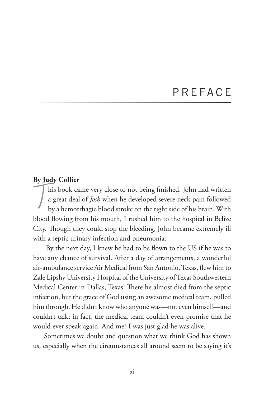#### **P R F F A C F**

#### **By Judy Collier**

 $\frac{1}{2}$ his book came very close to not being finished. John had written a great deal of *Josh* when he developed severe neck pain followed by a hemorrhagic blood stroke on the right side of his brain. With blood flowing from his mouth, I rushed him to the hospital in Belize City. Though they could stop the bleeding, John became extremely ill with a septic urinary infection and pneumonia.

 By the next day, I knew he had to be flown to the US if he was to have any chance of survival. After a day of arrangements, a wonderful air-ambulance service Air Medical from San Antonio, Texas, flew him to Zale Lipshy University Hospital of the University of Texas Southwestern Medical Center in Dallas, Texas. There he almost died from the septic infection, but the grace of God using an awesome medical team, pulled him through. He didn't know who anyone was—not even himself—and couldn't talk; in fact, the medical team couldn't even promise that he would ever speak again. And me? I was just glad he was alive.

Sometimes we doubt and question what we think God has shown us, especially when the circumstances all around seem to be saying it's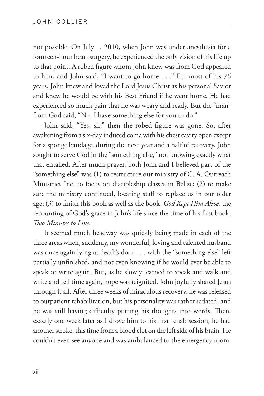not possible. On July 1, 2010, when John was under anesthesia for a fourteen-hour heart surgery, he experienced the only vision of his life up to that point. A robed figure whom John knew was from God appeared to him, and John said, "I want to go home . . ." For most of his 76 years, John knew and loved the Lord Jesus Christ as his personal Savior and knew he would be with his Best Friend if he went home. He had experienced so much pain that he was weary and ready. But the "man" from God said, "No, I have something else for you to do."

John said, "Yes, sir," then the robed figure was gone. So, after awakening from a six-day induced coma with his chest cavity open except for a sponge bandage, during the next year and a half of recovery, John sought to serve God in the "something else," not knowing exactly what that entailed. After much prayer, both John and I believed part of the "something else" was (1) to restructure our ministry of C. A. Outreach Ministries Inc. to focus on discipleship classes in Belize; (2) to make sure the ministry continued, locating staff to replace us in our older age; (3) to finish this book as well as the book, *God Kept Him Alive*, the recounting of God's grace in John's life since the time of his first book, *Two Minutes to Live*.

It seemed much headway was quickly being made in each of the three areas when, suddenly, my wonderful, loving and talented husband was once again lying at death's door . . . with the "something else" left partially unfinished, and not even knowing if he would ever be able to speak or write again. But, as he slowly learned to speak and walk and write and tell time again, hope was reignited. John joyfully shared Jesus through it all. After three weeks of miraculous recovery, he was released to outpatient rehabilitation, but his personality was rather sedated, and he was still having difficulty putting his thoughts into words. Then, exactly one week later as I drove him to his first rehab session, he had another stroke, this time from a blood clot on the left side of his brain. He couldn't even see anyone and was ambulanced to the emergency room.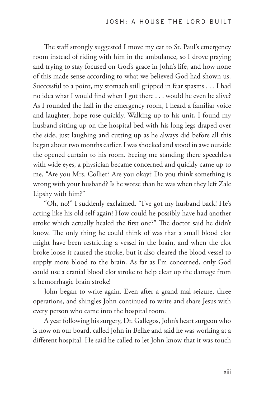The staff strongly suggested I move my car to St. Paul's emergency room instead of riding with him in the ambulance, so I drove praying and trying to stay focused on God's grace in John's life, and how none of this made sense according to what we believed God had shown us. Successful to a point, my stomach still gripped in fear spasms . . . I had no idea what I would find when I got there . . . would he even be alive? As I rounded the hall in the emergency room, I heard a familiar voice and laughter; hope rose quickly. Walking up to his unit, I found my husband sitting up on the hospital bed with his long legs draped over the side, just laughing and cutting up as he always did before all this began about two months earlier. I was shocked and stood in awe outside the opened curtain to his room. Seeing me standing there speechless with wide eyes, a physician became concerned and quickly came up to me, "Are you Mrs. Collier? Are you okay? Do you think something is wrong with your husband? Is he worse than he was when they left Zale Lipshy with him?"

"Oh, no!" I suddenly exclaimed. "I've got my husband back! He's acting like his old self again! How could he possibly have had another stroke which actually healed the first one?" The doctor said he didn't know. The only thing he could think of was that a small blood clot might have been restricting a vessel in the brain, and when the clot broke loose it caused the stroke, but it also cleared the blood vessel to supply more blood to the brain. As far as I'm concerned, only God could use a cranial blood clot stroke to help clear up the damage from a hemorrhagic brain stroke!

John began to write again. Even after a grand mal seizure, three operations, and shingles John continued to write and share Jesus with every person who came into the hospital room.

A year following his surgery, Dr. Gallegos, John's heart surgeon who is now on our board, called John in Belize and said he was working at a different hospital. He said he called to let John know that it was touch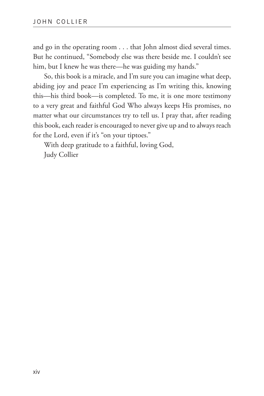and go in the operating room . . . that John almost died several times. But he continued, "Somebody else was there beside me. I couldn't see him, but I knew he was there—he was guiding my hands."

So, this book is a miracle, and I'm sure you can imagine what deep, abiding joy and peace I'm experiencing as I'm writing this, knowing this—his third book—is completed. To me, it is one more testimony to a very great and faithful God Who always keeps His promises, no matter what our circumstances try to tell us. I pray that, after reading this book, each reader is encouraged to never give up and to always reach for the Lord, even if it's "on your tiptoes."

With deep gratitude to a faithful, loving God, Judy Collier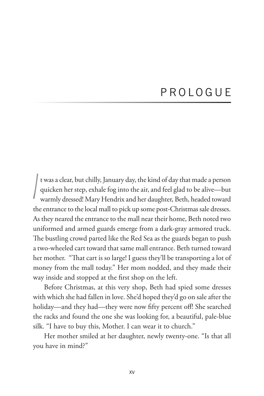## P R O L O G U E

 $\int$ t was a clear, but chilly, January day, the kind of day that made a person quicken her step, exhale fog into the air, and feel glad to be alive—but warmly dressed! Mary Hendrix and her daughter, Beth, headed toward the entrance to the local mall to pick up some post-Christmas sale dresses. As they neared the entrance to the mall near their home, Beth noted two uniformed and armed guards emerge from a dark-gray armored truck. The bustling crowd parted like the Red Sea as the guards began to push a two-wheeled cart toward that same mall entrance. Beth turned toward her mother. "That cart is so large! I guess they'll be transporting a lot of money from the mall today." Her mom nodded, and they made their way inside and stopped at the first shop on the left.

Before Christmas, at this very shop, Beth had spied some dresses with which she had fallen in love. She'd hoped they'd go on sale after the holiday—and they had—they were now fifty percent off! She searched the racks and found the one she was looking for, a beautiful, pale-blue silk. "I have to buy this, Mother. I can wear it to church."

Her mother smiled at her daughter, newly twenty-one. "Is that all you have in mind?"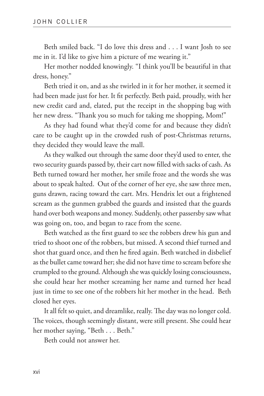Beth smiled back. "I do love this dress and . . . I want Josh to see me in it. I'd like to give him a picture of me wearing it."

Her mother nodded knowingly. "I think you'll be beautiful in that dress, honey."

Beth tried it on, and as she twirled in it for her mother, it seemed it had been made just for her. It fit perfectly. Beth paid, proudly, with her new credit card and, elated, put the receipt in the shopping bag with her new dress. "Thank you so much for taking me shopping, Mom!"

As they had found what they'd come for and because they didn't care to be caught up in the crowded rush of post-Christmas returns, they decided they would leave the mall.

As they walked out through the same door they'd used to enter, the two security guards passed by, their cart now filled with sacks of cash. As Beth turned toward her mother, her smile froze and the words she was about to speak halted. Out of the corner of her eye, she saw three men, guns drawn, racing toward the cart. Mrs. Hendrix let out a frightened scream as the gunmen grabbed the guards and insisted that the guards hand over both weapons and money. Suddenly, other passersby saw what was going on, too, and began to race from the scene.

Beth watched as the first guard to see the robbers drew his gun and tried to shoot one of the robbers, but missed. A second thief turned and shot that guard once, and then he fired again. Beth watched in disbelief as the bullet came toward her; she did not have time to scream before she crumpled to the ground. Although she was quickly losing consciousness, she could hear her mother screaming her name and turned her head just in time to see one of the robbers hit her mother in the head. Beth closed her eyes.

It all felt so quiet, and dreamlike, really. The day was no longer cold. The voices, though seemingly distant, were still present. She could hear her mother saying, "Beth . . . Beth."

Beth could not answer her.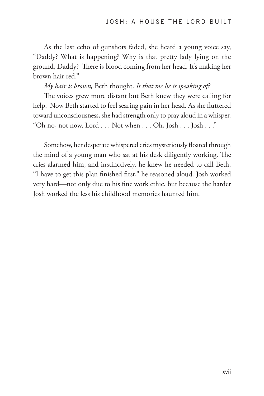As the last echo of gunshots faded, she heard a young voice say, "Daddy? What is happening? Why is that pretty lady lying on the ground, Daddy? There is blood coming from her head. It's making her brown hair red."

*My hair is brown,* Beth thought. *Is that me he is speaking of?*

The voices grew more distant but Beth knew they were calling for help. Now Beth started to feel searing pain in her head. As she fluttered toward unconsciousness, she had strength only to pray aloud in a whisper. "Oh no, not now, Lord . . . Not when . . . Oh, Josh . . . Josh . . ."

Somehow, her desperate whispered cries mysteriously floated through the mind of a young man who sat at his desk diligently working. The cries alarmed him, and instinctively, he knew he needed to call Beth. "I have to get this plan finished first," he reasoned aloud. Josh worked very hard—not only due to his fine work ethic, but because the harder Josh worked the less his childhood memories haunted him.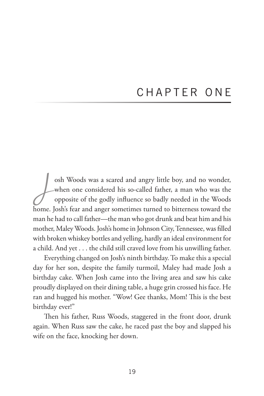## CHAPTER ONE

osh Woods was a scared and angry little boy, and no wonder,<br>when one considered his so-called father, a man who was the<br>opposite of the godly influence so badly needed in the Woods when one considered his so-called father, a man who was the opposite of the godly influence so badly needed in the Woods home. Josh's fear and anger sometimes turned to bitterness toward the man he had to call father—the man who got drunk and beat him and his mother, Maley Woods. Josh's home in Johnson City, Tennessee, was filled with broken whiskey bottles and yelling, hardly an ideal environment for a child. And yet . . . the child still craved love from his unwilling father.

Everything changed on Josh's ninth birthday. To make this a special day for her son, despite the family turmoil, Maley had made Josh a birthday cake. When Josh came into the living area and saw his cake proudly displayed on their dining table, a huge grin crossed his face. He ran and hugged his mother. "Wow! Gee thanks, Mom! This is the best birthday ever!"

Then his father, Russ Woods, staggered in the front door, drunk again. When Russ saw the cake, he raced past the boy and slapped his wife on the face, knocking her down.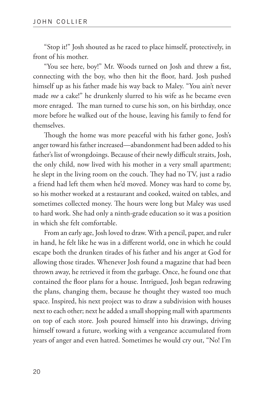"Stop it!" Josh shouted as he raced to place himself, protectively, in front of his mother.

"You see here, boy!" Mr. Woods turned on Josh and threw a fist, connecting with the boy, who then hit the floor, hard. Josh pushed himself up as his father made his way back to Maley. "You ain't never made *me* a cake!" he drunkenly slurred to his wife as he became even more enraged. The man turned to curse his son, on his birthday, once more before he walked out of the house, leaving his family to fend for themselves.

Though the home was more peaceful with his father gone, Josh's anger toward his father increased—abandonment had been added to his father's list of wrongdoings. Because of their newly difficult straits, Josh, the only child, now lived with his mother in a very small apartment; he slept in the living room on the couch. They had no TV, just a radio a friend had left them when he'd moved. Money was hard to come by, so his mother worked at a restaurant and cooked, waited on tables, and sometimes collected money. The hours were long but Maley was used to hard work. She had only a ninth-grade education so it was a position in which she felt comfortable.

From an early age, Josh loved to draw. With a pencil, paper, and ruler in hand, he felt like he was in a different world, one in which he could escape both the drunken tirades of his father and his anger at God for allowing those tirades. Whenever Josh found a magazine that had been thrown away, he retrieved it from the garbage. Once, he found one that contained the floor plans for a house. Intrigued, Josh began redrawing the plans, changing them, because he thought they wasted too much space. Inspired, his next project was to draw a subdivision with houses next to each other; next he added a small shopping mall with apartments on top of each store. Josh poured himself into his drawings, driving himself toward a future, working with a vengeance accumulated from years of anger and even hatred. Sometimes he would cry out, "No! I'm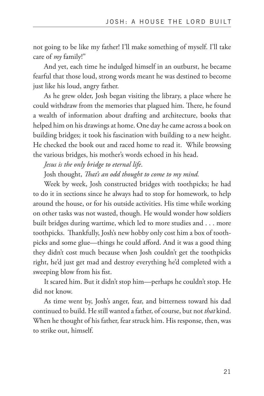not going to be like my father! I'll make something of myself. I'll take care of *my* family!"

And yet, each time he indulged himself in an outburst, he became fearful that those loud, strong words meant he was destined to become just like his loud, angry father.

As he grew older, Josh began visiting the library, a place where he could withdraw from the memories that plagued him. There, he found a wealth of information about drafting and architecture, books that helped him on his drawings at home. One day he came across a book on building bridges; it took his fascination with building to a new height. He checked the book out and raced home to read it. While browsing the various bridges, his mother's words echoed in his head.

*Jesus is the only bridge to eternal life*.

Josh thought, *That's an odd thought to come to my mind.* 

Week by week, Josh constructed bridges with toothpicks; he had to do it in sections since he always had to stop for homework, to help around the house, or for his outside activities. His time while working on other tasks was not wasted, though. He would wonder how soldiers built bridges during wartime, which led to more studies and . . . more toothpicks. Thankfully, Josh's new hobby only cost him a box of toothpicks and some glue—things he could afford. And it was a good thing they didn't cost much because when Josh couldn't get the toothpicks right, he'd just get mad and destroy everything he'd completed with a sweeping blow from his fist.

It scared him. But it didn't stop him—perhaps he couldn't stop. He did not know.

As time went by, Josh's anger, fear, and bitterness toward his dad continued to build. He still wanted a father, of course, but not *that* kind. When he thought of his father, fear struck him. His response, then, was to strike out, himself.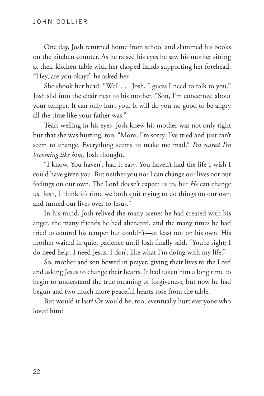One day, Josh returned home from school and slammed his books on the kitchen counter. As he raised his eyes he saw his mother sitting at their kitchen table with her clasped hands supporting her forehead. "Hey, are you okay?" he asked her.

She shook her head. "Well . . . Josh, I guess I need to talk to you." Josh slid into the chair next to his mother. "Son, I'm concerned about your temper. It can only hurt you. It will do you no good to be angry all the time like your father was."

Tears welling in his eyes, Josh knew his mother was not only right but that she was hurting, too. "Mom, I'm sorry. I've tried and just can't seem to change. Everything seems to make me mad." *I'm scared I'm becoming like him,* Josh thought.

"I know. You haven't had it easy. You haven't had the life I wish I could have given you. But neither you nor I can change our lives nor our feelings on our own. The Lord doesn't expect us to, but *He* can change us. Josh, I think it's time we both quit trying to do things on our own and turned our lives over to Jesus."

In his mind, Josh relived the many scenes he had created with his anger, the many friends he had alienated, and the many times he had tried to control his temper but couldn't—at least not on his own. His mother waited in quiet patience until Josh finally said, "You're right; I do need help. I need Jesus. I don't like what I'm doing with my life."

So, mother and son bowed in prayer, giving their lives to the Lord and asking Jesus to change their hearts. It had taken him a long time to begin to understand the true meaning of forgiveness, but now he had begun and two much more peaceful hearts rose from the table.

But would it last? Or would he, too, eventually hurt everyone who loved him?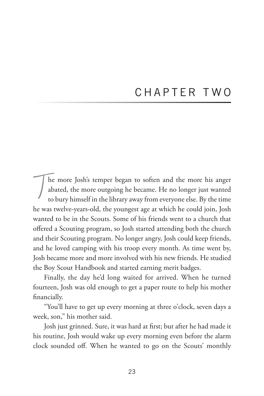## CHAPTER TWO

 $\int$ he more Josh's temper began to soften and the more his anger abated, the more outgoing he became. He no longer just wanted to bury himself in the library away from everyone else. By the time he was twelve-years-old, the youngest age at which he could join, Josh wanted to be in the Scouts. Some of his friends went to a church that offered a Scouting program, so Josh started attending both the church and their Scouting program. No longer angry, Josh could keep friends, and he loved camping with his troop every month. As time went by, Josh became more and more involved with his new friends. He studied the Boy Scout Handbook and started earning merit badges.

Finally, the day he'd long waited for arrived. When he turned fourteen, Josh was old enough to get a paper route to help his mother financially.

"You'll have to get up every morning at three o'clock, seven days a week, son," his mother said.

Josh just grinned. Sure, it was hard at first; but after he had made it his routine, Josh would wake up every morning even before the alarm clock sounded off. When he wanted to go on the Scouts' monthly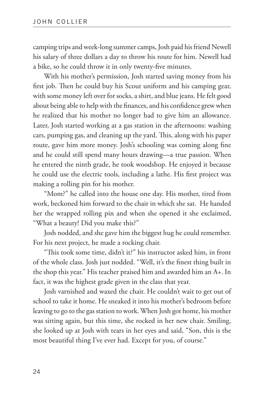camping trips and week-long summer camps, Josh paid his friend Newell his salary of three dollars a day to throw his route for him. Newell had a bike, so he could throw it in only twenty-five minutes.

With his mother's permission, Josh started saving money from his first job. Then he could buy his Scout uniform and his camping gear, with some money left over for socks, a shirt, and blue jeans. He felt good about being able to help with the finances, and his confidence grew when he realized that his mother no longer had to give him an allowance. Later, Josh started working at a gas station in the afternoons: washing cars, pumping gas, and cleaning up the yard. This, along with his paper route, gave him more money. Josh's schooling was coming along fine and he could still spend many hours drawing—a true passion. When he entered the ninth grade, he took woodshop. He enjoyed it because he could use the electric tools, including a lathe. His first project was making a rolling pin for his mother.

"Mom?" he called into the house one day. His mother, tired from work, beckoned him forward to the chair in which she sat. He handed her the wrapped rolling pin and when she opened it she exclaimed, "What a beauty! Did you make this?"

Josh nodded, and she gave him the biggest hug he could remember. For his next project, he made a rocking chair.

"This took some time, didn't it?" his instructor asked him, in front of the whole class. Josh just nodded. "Well, it's the finest thing built in the shop this year." His teacher praised him and awarded him an A+. In fact, it was the highest grade given in the class that year.

Josh varnished and waxed the chair. He couldn't wait to get out of school to take it home. He sneaked it into his mother's bedroom before leaving to go to the gas station to work. When Josh got home, his mother was sitting again, but this time, she rocked in her new chair. Smiling, she looked up at Josh with tears in her eyes and said, "Son, this is the most beautiful thing I've ever had. Except for you, of course."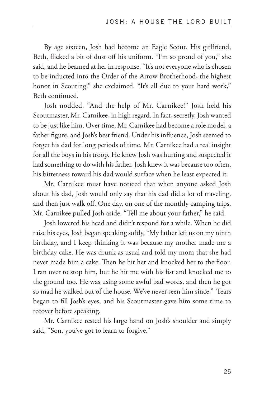By age sixteen, Josh had become an Eagle Scout. His girlfriend, Beth, flicked a bit of dust off his uniform. "I'm so proud of you," she said, and he beamed at her in response. "It's not everyone who is chosen to be inducted into the Order of the Arrow Brotherhood, the highest honor in Scouting!" she exclaimed. "It's all due to your hard work," Beth continued.

Josh nodded. "And the help of Mr. Carnikee!" Josh held his Scoutmaster, Mr. Carnikee, in high regard. In fact, secretly, Josh wanted to be just like him. Over time, Mr. Carnikee had become a role model, a father figure, and Josh's best friend. Under his influence, Josh seemed to forget his dad for long periods of time. Mr. Carnikee had a real insight for all the boys in his troop. He knew Josh was hurting and suspected it had something to do with his father. Josh knew it was because too often, his bitterness toward his dad would surface when he least expected it.

Mr. Carnikee must have noticed that when anyone asked Josh about his dad, Josh would only say that his dad did a lot of traveling, and then just walk off. One day, on one of the monthly camping trips, Mr. Carnikee pulled Josh aside. "Tell me about your father," he said.

Josh lowered his head and didn't respond for a while. When he did raise his eyes, Josh began speaking softly, "My father left us on my ninth birthday, and I keep thinking it was because my mother made me a birthday cake. He was drunk as usual and told my mom that she had never made him a cake. Then he hit her and knocked her to the floor. I ran over to stop him, but he hit me with his fist and knocked me to the ground too. He was using some awful bad words, and then he got so mad he walked out of the house. We've never seen him since." Tears began to fill Josh's eyes, and his Scoutmaster gave him some time to recover before speaking.

Mr. Carnikee rested his large hand on Josh's shoulder and simply said, "Son, you've got to learn to forgive."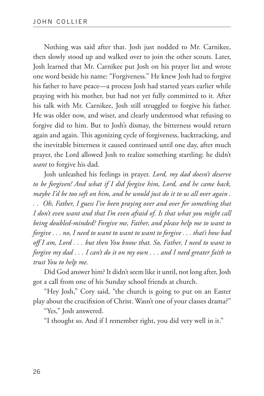Nothing was said after that. Josh just nodded to Mr. Carnikee, then slowly stood up and walked over to join the other scouts. Later, Josh learned that Mr. Carnikee put Josh on his prayer list and wrote one word beside his name: "Forgiveness." He knew Josh had to forgive his father to have peace—a process Josh had started years earlier while praying with his mother, but had not yet fully committed to it. After his talk with Mr. Carnikee, Josh still struggled to forgive his father. He was older now, and wiser, and clearly understood what refusing to forgive did to him. But to Josh's dismay, the bitterness would return again and again. This agonizing cycle of forgiveness, backtracking, and the inevitable bitterness it caused continued until one day, after much prayer, the Lord allowed Josh to realize something startling: he didn't *want* to forgive his dad.

Josh unleashed his feelings in prayer. *Lord, my dad doesn't deserve to be forgiven! And what if I did forgive him, Lord, and he came back, maybe I'd be too soft on him, and he would just do it to us all over again . . . Oh, Father, I guess I've been praying over and over for something that I don't even want and that I'm even afraid of. Is that what you might call being doubled-minded? Forgive me, Father, and please help me to want to forgive . . . no, I need to want to want to want to forgive . . . that's how bad off I am, Lord . . . but then You know that. So, Father, I need to want to forgive my dad . . . I can't do it on my own . . . and I need greater faith to trust You to help me.*

Did God answer him? It didn't seem like it until, not long after, Josh got a call from one of his Sunday school friends at church.

"Hey Josh," Cory said, "the church is going to put on an Easter play about the crucifixion of Christ. Wasn't one of your classes drama?"

"Yes," Josh answered.

"I thought so. And if I remember right, you did very well in it."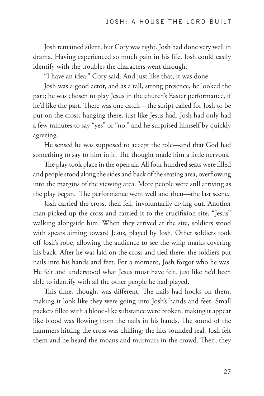Josh remained silent, but Cory was right. Josh had done very well in drama. Having experienced so much pain in his life, Josh could easily identify with the troubles the characters went through.

"I have an idea," Cory said. And just like that, it was done.

Josh was a good actor, and as a tall, strong presence, he looked the part; he was chosen to play Jesus in the church's Easter performance, if he'd like the part. There was one catch—the script called for Josh to be put on the cross, hanging there, just like Jesus had. Josh had only had a few minutes to say "yes" or "no," and he surprised himself by quickly agreeing.

He sensed he was supposed to accept the role—and that God had something to say to him in it. The thought made him a little nervous.

The play took place in the open air. All four hundred seats were filled and people stood along the sides and back of the seating area, overflowing into the margins of the viewing area. More people were still arriving as the play began. The performance went well and then—the last scene.

Josh carried the cross, then fell, involuntarily crying out. Another man picked up the cross and carried it to the crucifixion site, "Jesus" walking alongside him. When they arrived at the site, soldiers stood with spears aiming toward Jesus, played by Josh. Other soldiers took off Josh's robe, allowing the audience to see the whip marks covering his back. After he was laid on the cross and tied there, the soldiers put nails into his hands and feet. For a moment, Josh forgot who he was. He felt and understood what Jesus must have felt, just like he'd been able to identify with all the other people he had played.

This time, though, was different. The nails had hooks on them, making it look like they were going into Josh's hands and feet. Small packets filled with a blood-like substance were broken, making it appear like blood was flowing from the nails in his hands. The sound of the hammers hitting the cross was chilling; the hits sounded real. Josh felt them and he heard the moans and murmurs in the crowd. Then, they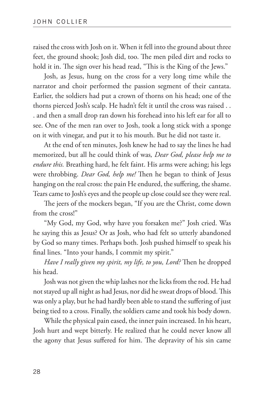raised the cross with Josh on it. When it fell into the ground about three feet, the ground shook; Josh did, too. The men piled dirt and rocks to hold it in. The sign over his head read, "This is the King of the Jews."

Josh, as Jesus, hung on the cross for a very long time while the narrator and choir performed the passion segment of their cantata. Earlier, the soldiers had put a crown of thorns on his head; one of the thorns pierced Josh's scalp. He hadn't felt it until the cross was raised . . . and then a small drop ran down his forehead into his left ear for all to see. One of the men ran over to Josh, took a long stick with a sponge on it with vinegar, and put it to his mouth. But he did not taste it.

At the end of ten minutes, Josh knew he had to say the lines he had memorized, but all he could think of was*, Dear God, please help me to endure this.* Breathing hard, he felt faint. His arms were aching; his legs were throbbing. *Dear God, help me!* Then he began to think of Jesus hanging on the real cross: the pain He endured, the suffering, the shame. Tears came to Josh's eyes and the people up close could see they were real.

The jeers of the mockers began, "If you are the Christ, come down from the cross!"

"My God, my God, why have you forsaken me?" Josh cried. Was he saying this as Jesus? Or as Josh, who had felt so utterly abandoned by God so many times. Perhaps both. Josh pushed himself to speak his final lines. "Into your hands, I commit my spirit."

*Have I really given my spirit, my life, to you, Lord?* Then he dropped his head.

Josh was not given the whip lashes nor the licks from the rod. He had not stayed up all night as had Jesus, nor did he sweat drops of blood. This was only a play, but he had hardly been able to stand the suffering of just being tied to a cross. Finally, the soldiers came and took his body down.

While the physical pain eased, the inner pain increased. In his heart, Josh hurt and wept bitterly. He realized that he could never know all the agony that Jesus suffered for him. The depravity of his sin came